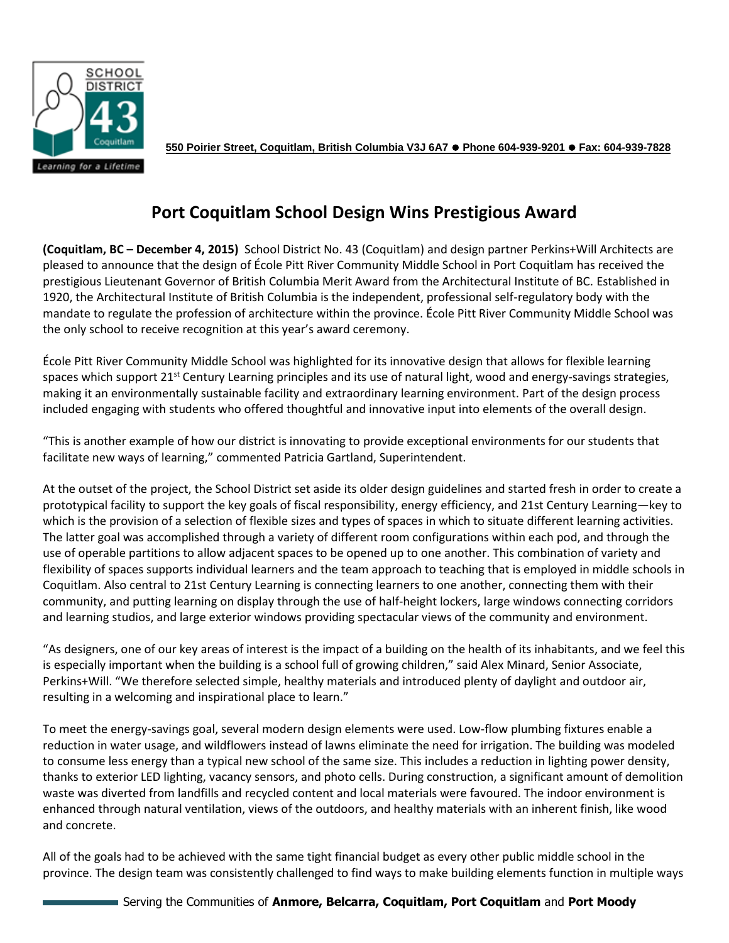

**550 Poirier Street, Coquitlam, British Columbia V3J 6A7 Phone 604-939-9201 Fax: 604-939-7828**

## **Port Coquitlam School Design Wins Prestigious Award**

**(Coquitlam, BC – December 4, 2015)** School District No. 43 (Coquitlam) and design partner Perkins+Will Architects are pleased to announce that the design of École Pitt River Community Middle School in Port Coquitlam has received the prestigious Lieutenant Governor of British Columbia Merit Award from the Architectural Institute of BC. Established in 1920, the Architectural Institute of British Columbia is the independent, professional self-regulatory body with the mandate to regulate the profession of architecture within the province. École Pitt River Community Middle School was the only school to receive recognition at this year's award ceremony.

École Pitt River Community Middle School was highlighted for its innovative design that allows for flexible learning spaces which support  $21^{st}$  Century Learning principles and its use of natural light, wood and energy-savings strategies, making it an environmentally sustainable facility and extraordinary learning environment. Part of the design process included engaging with students who offered thoughtful and innovative input into elements of the overall design.

"This is another example of how our district is innovating to provide exceptional environments for our students that facilitate new ways of learning," commented Patricia Gartland, Superintendent.

At the outset of the project, the School District set aside its older design guidelines and started fresh in order to create a prototypical facility to support the key goals of fiscal responsibility, energy efficiency, and 21st Century Learning—key to which is the provision of a selection of flexible sizes and types of spaces in which to situate different learning activities. The latter goal was accomplished through a variety of different room configurations within each pod, and through the use of operable partitions to allow adjacent spaces to be opened up to one another. This combination of variety and flexibility of spaces supports individual learners and the team approach to teaching that is employed in middle schools in Coquitlam. Also central to 21st Century Learning is connecting learners to one another, connecting them with their community, and putting learning on display through the use of half-height lockers, large windows connecting corridors and learning studios, and large exterior windows providing spectacular views of the community and environment.

"As designers, one of our key areas of interest is the impact of a building on the health of its inhabitants, and we feel this is especially important when the building is a school full of growing children," said Alex Minard, Senior Associate, Perkins+Will. "We therefore selected simple, healthy materials and introduced plenty of daylight and outdoor air, resulting in a welcoming and inspirational place to learn."

To meet the energy-savings goal, several modern design elements were used. Low-flow plumbing fixtures enable a reduction in water usage, and wildflowers instead of lawns eliminate the need for irrigation. The building was modeled to consume less energy than a typical new school of the same size. This includes a reduction in lighting power density, thanks to exterior LED lighting, vacancy sensors, and photo cells. During construction, a significant amount of demolition waste was diverted from landfills and recycled content and local materials were favoured. The indoor environment is enhanced through natural ventilation, views of the outdoors, and healthy materials with an inherent finish, like wood and concrete.

All of the goals had to be achieved with the same tight financial budget as every other public middle school in the province. The design team was consistently challenged to find ways to make building elements function in multiple ways